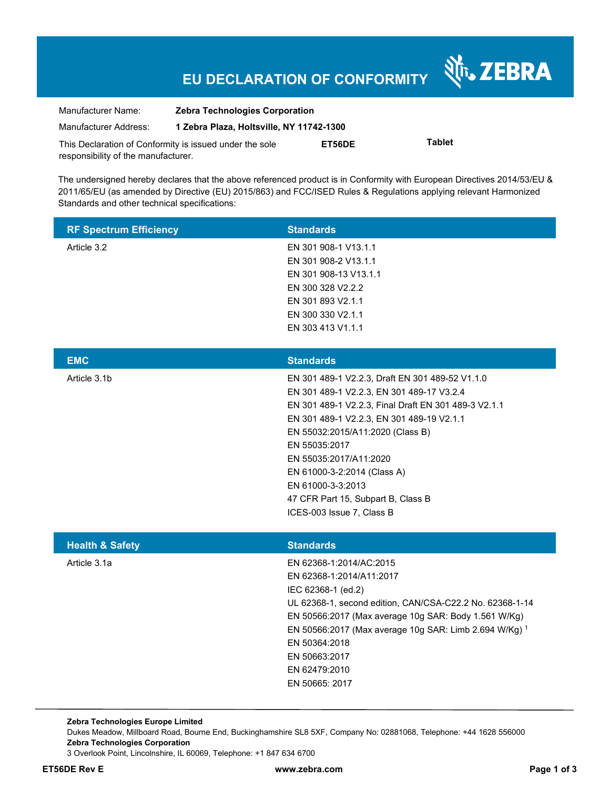# **EU DECLARATION OF CONFORMITY**

Nr. ZEBRA

| Manufacturer Name:                                      | <b>Zebra Technologies Corporation</b>    |        |               |  |
|---------------------------------------------------------|------------------------------------------|--------|---------------|--|
| Manufacturer Address:                                   | 1 Zebra Plaza, Holtsville, NY 11742-1300 |        |               |  |
| This Declaration of Conformity is issued under the sole |                                          | ET56DE | <b>Tablet</b> |  |
| responsibility of the manufacturer.                     |                                          |        |               |  |

The undersigned hereby declares that the above referenced product is in Conformity with European Directives 2014/53/EU & 2011/65/EU (as amended by Directive (EU) 2015/863) and FCC/ISED Rules & Regulations applying relevant Harmonized Standards and other technical specifications:

| Article 3.2<br>EN 301 908-1 V13.1.1<br>EN 301 908-2 V13.1.1                                                     |
|-----------------------------------------------------------------------------------------------------------------|
| EN 301 908-13 V13.1.1                                                                                           |
| EN 300 328 V2.2.2                                                                                               |
| EN 301 893 V2.1.1                                                                                               |
| EN 300 330 V2.1.1                                                                                               |
| EN 303 413 V1.1.1                                                                                               |
|                                                                                                                 |
| <b>EMC</b><br><b>Standards</b>                                                                                  |
| Article 3.1b<br>EN 301 489-1 V2.2.3, Draft EN 301 489-52 V1.1.0                                                 |
| EN 301 489-1 V2.2.3, EN 301 489-17 V3.2.4                                                                       |
| EN 301 489-1 V2.2.3, Final Draft EN 301 489-3 V2.1.1<br>EN 301 489-1 V2.2.3, EN 301 489-19 V2.1.1               |
| EN 55032:2015/A11:2020 (Class B)                                                                                |
| EN 55035:2017                                                                                                   |
| EN 55035:2017/A11:2020                                                                                          |
| EN 61000-3-2:2014 (Class A)                                                                                     |
| EN 61000-3-3:2013                                                                                               |
| 47 CFR Part 15, Subpart B, Class B                                                                              |
| ICES-003 Issue 7, Class B                                                                                       |
|                                                                                                                 |
| <b>Standards</b><br><b>Health &amp; Safety</b><br>Artiolo <sub>2</sub> 1 <sub>2</sub><br>ENR9269 1.2011100.2015 |

| Article 3.1a | EN 62368-1:2014/AC:2015                                  |
|--------------|----------------------------------------------------------|
|              | EN 62368-1:2014/A11:2017                                 |
|              | IEC 62368-1 (ed.2)                                       |
|              | UL 62368-1, second edition, CAN/CSA-C22.2 No. 62368-1-14 |
|              | EN 50566:2017 (Max average 10g SAR: Body 1.561 W/Kg)     |
|              | EN 50566:2017 (Max average 10g SAR: Limb 2.694 W/Kg) 1   |
|              | EN 50364:2018                                            |
|              | EN 50663:2017                                            |
|              | EN 62479:2010                                            |
|              | EN 50665: 2017                                           |
|              |                                                          |

**Zebra Technologies Europe Limited**  Dukes Meadow, Millboard Road, Bourne End, Buckinghamshire SL8 5XF, Company No: 02881068, Telephone: +44 1628 556000 **Zebra Technologies Corporation**  3 Overlook Point, Lincolnshire, IL 60069, Telephone: +1 847 634 6700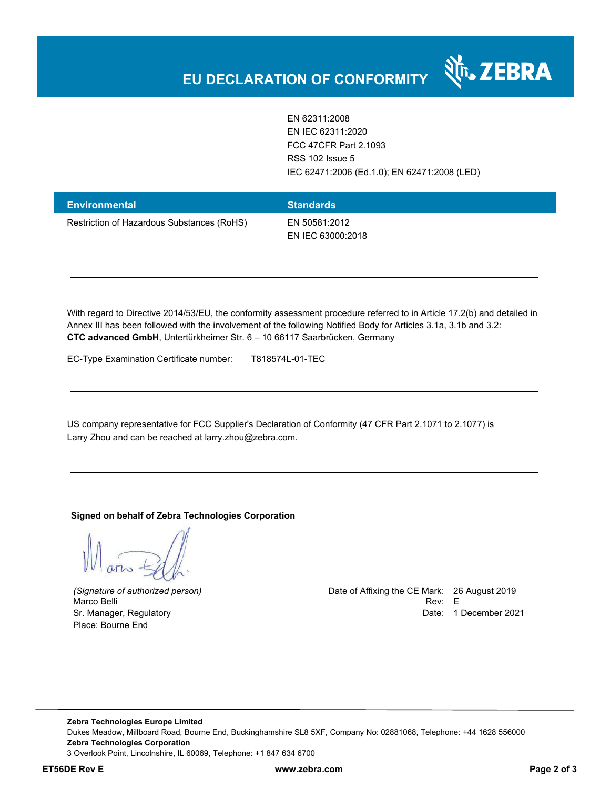

EN 62311:2008 EN IEC 62311:2020 FCC 47CFR Part 2.1093 RSS 102 Issue 5 IEC 62471:2006 (Ed.1.0); EN 62471:2008 (LED)

| Environmental                              | <b>Standards</b>  |
|--------------------------------------------|-------------------|
| Restriction of Hazardous Substances (RoHS) | EN 50581:2012     |
|                                            | EN IEC 63000:2018 |

With regard to Directive 2014/53/EU, the conformity assessment procedure referred to in Article 17.2(b) and detailed in Annex III has been followed with the involvement of the following Notified Body for Articles 3.1a, 3.1b and 3.2: **CTC advanced GmbH**, Untertürkheimer Str. 6 – 10 66117 Saarbrücken, Germany

EC-Type Examination Certificate number: T818574L-01-TEC

US company representative for FCC Supplier's Declaration of Conformity (47 CFR Part 2.1071 to 2.1077) is Larry Zhou and can be reached at larry.zhou@zebra.com.

#### **Signed on behalf of Zebra Technologies Corporation**

Place: Bourne End

*(Signature of authorized person)* Date of Affixing the CE Mark: 26 August 2019 Marco Belli Rev: E Sr. Manager, Regulatory **Date: 1 December 2021** 

**Zebra Technologies Europe Limited**  Dukes Meadow, Millboard Road, Bourne End, Buckinghamshire SL8 5XF, Company No: 02881068, Telephone: +44 1628 556000 **Zebra Technologies Corporation**  3 Overlook Point, Lincolnshire, IL 60069, Telephone: +1 847 634 6700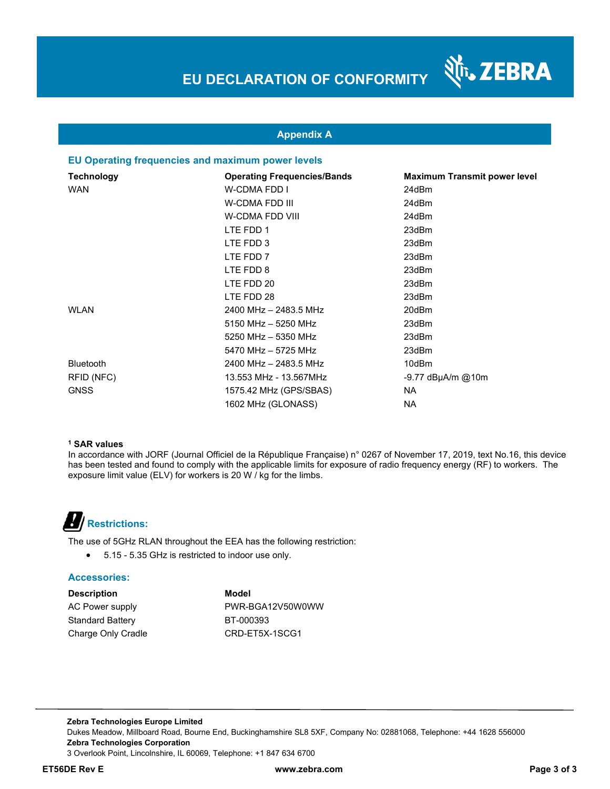

र्शे<sub>ं</sub> ZEBRA

## **Appendix A**

#### **EU Operating frequencies and maximum power levels**

| <b>Technology</b> | <b>Operating Frequencies/Bands</b> | <b>Maximum Transmit power level</b> |
|-------------------|------------------------------------|-------------------------------------|
| <b>WAN</b>        | W-CDMA FDD I                       | 24dBm                               |
|                   | W-CDMA FDD III                     | 24dBm                               |
|                   | W-CDMA FDD VIII                    | 24dBm                               |
|                   | LTE FDD 1                          | 23dBm                               |
|                   | LTE FDD 3                          | 23dBm                               |
|                   | LTE FDD 7                          | 23dBm                               |
|                   | LTE FDD 8                          | 23dBm                               |
|                   | LTE FDD 20                         | 23dBm                               |
|                   | LTE FDD 28                         | 23dBm                               |
| <b>WLAN</b>       | 2400 MHz - 2483.5 MHz              | 20dBm                               |
|                   | 5150 MHz - 5250 MHz                | 23dBm                               |
|                   | 5250 MHz - 5350 MHz                | 23dBm                               |
|                   | 5470 MHz - 5725 MHz                | 23dBm                               |
| <b>Bluetooth</b>  | 2400 MHz - 2483.5 MHz              | 10dBm                               |
| RFID (NFC)        | 13.553 MHz - 13.567MHz             | $-9.77$ dBµA/m @10m                 |
| <b>GNSS</b>       | 1575.42 MHz (GPS/SBAS)             | NA.                                 |
|                   | 1602 MHz (GLONASS)                 | <b>NA</b>                           |

#### **1 SAR values**

In accordance with JORF (Journal Officiel de la République Française) n° 0267 of November 17, 2019, text No.16, this device has been tested and found to comply with the applicable limits for exposure of radio frequency energy (RF) to workers. The exposure limit value (ELV) for workers is 20 W / kg for the limbs.



The use of 5GHz RLAN throughout the EEA has the following restriction:

5.15 - 5.35 GHz is restricted to indoor use only.

#### **Accessories:**

**Description Model** Standard Battery BT-000393 Charge Only Cradle CRD-ET5X-1SCG1

AC Power supply **EXAMPLE PWR-BGA12V50W0WW**